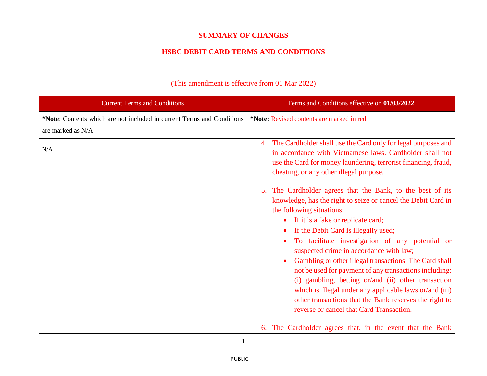## **SUMMARY OF CHANGES**

## **HSBC DEBIT CARD TERMS AND CONDITIONS**

| <b>Current Terms and Conditions</b>                                                         | Terms and Conditions effective on 01/03/2022                                                                                                                                                                                                                                                                                                                                                                                                                                                                                                                                                                                                                                  |
|---------------------------------------------------------------------------------------------|-------------------------------------------------------------------------------------------------------------------------------------------------------------------------------------------------------------------------------------------------------------------------------------------------------------------------------------------------------------------------------------------------------------------------------------------------------------------------------------------------------------------------------------------------------------------------------------------------------------------------------------------------------------------------------|
| *Note: Contents which are not included in current Terms and Conditions<br>are marked as N/A | *Note: Revised contents are marked in red                                                                                                                                                                                                                                                                                                                                                                                                                                                                                                                                                                                                                                     |
| N/A                                                                                         | 4. The Cardholder shall use the Card only for legal purposes and<br>in accordance with Vietnamese laws. Cardholder shall not<br>use the Card for money laundering, terrorist financing, fraud,<br>cheating, or any other illegal purpose.                                                                                                                                                                                                                                                                                                                                                                                                                                     |
|                                                                                             | The Cardholder agrees that the Bank, to the best of its<br>knowledge, has the right to seize or cancel the Debit Card in<br>the following situations:<br>If it is a fake or replicate card;<br>If the Debit Card is illegally used;<br>To facilitate investigation of any potential or<br>suspected crime in accordance with law;<br>Gambling or other illegal transactions: The Card shall<br>not be used for payment of any transactions including:<br>(i) gambling, betting or/and (ii) other transaction<br>which is illegal under any applicable laws or/and (iii)<br>other transactions that the Bank reserves the right to<br>reverse or cancel that Card Transaction. |
|                                                                                             | 6. The Cardholder agrees that, in the event that the Bank                                                                                                                                                                                                                                                                                                                                                                                                                                                                                                                                                                                                                     |

## (This amendment is effective from 01 Mar 2022)